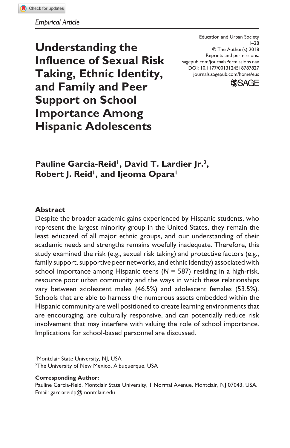*Empirical Article*

**Understanding the Influence of Sexual Risk Taking, Ethnic Identity, and Family and Peer Support on School Importance Among Hispanic Adolescents**

DOI: 10.1177/0013124518787827 Education and Urban Society 1–28 © The Author(s) 2018 Reprints and permissions: [sagepub.com/journalsPermissions.nav](https://us.sagepub.com/en-us/journals-permissions) [journals.sagepub.com/home/eus](https://journals.sagepub.com/home/eus)



Pauline Garcia-Reid<sup>1</sup>, David T. Lardier Jr.<sup>2</sup>, Robert J. Reid<sup>1</sup>, and Ijeoma Opara<sup>1</sup>

#### **Abstract**

Despite the broader academic gains experienced by Hispanic students, who represent the largest minority group in the United States, they remain the least educated of all major ethnic groups, and our understanding of their academic needs and strengths remains woefully inadequate. Therefore, this study examined the risk (e.g., sexual risk taking) and protective factors (e.g., family support, supportive peer networks, and ethnic identity) associated with school importance among Hispanic teens (*N* = 587) residing in a high-risk, resource poor urban community and the ways in which these relationships vary between adolescent males (46.5%) and adolescent females (53.5%). Schools that are able to harness the numerous assets embedded within the Hispanic community are well positioned to create learning environments that are encouraging, are culturally responsive, and can potentially reduce risk involvement that may interfere with valuing the role of school importance. Implications for school-based personnel are discussed.

<sup>1</sup>Montclair State University, NJ, USA

2The University of New Mexico, Albuquerque, USA

#### **Corresponding Author:**

Pauline Garcia-Reid, Montclair State University, 1 Normal Avenue, Montclair, NJ 07043, USA. Email: garciareidp@montclair.edu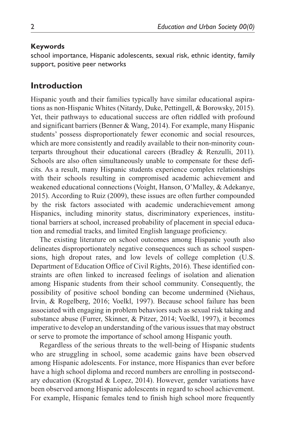#### **Keywords**

school importance, Hispanic adolescents, sexual risk, ethnic identity, family support, positive peer networks

### **Introduction**

Hispanic youth and their families typically have similar educational aspirations as non-Hispanic Whites (Nitardy, Duke, Pettingell, & Borowsky, 2015). Yet, their pathways to educational success are often riddled with profound and significant barriers (Benner & Wang, 2014). For example, many Hispanic students' possess disproportionately fewer economic and social resources, which are more consistently and readily available to their non-minority counterparts throughout their educational careers (Bradley & Renzulli, 2011). Schools are also often simultaneously unable to compensate for these deficits. As a result, many Hispanic students experience complex relationships with their schools resulting in compromised academic achievement and weakened educational connections (Voight, Hanson, O'Malley, & Adekanye, 2015). According to Ruiz (2009), these issues are often further compounded by the risk factors associated with academic underachievement among Hispanics, including minority status, discriminatory experiences, institutional barriers at school, increased probability of placement in special education and remedial tracks, and limited English language proficiency.

The existing literature on school outcomes among Hispanic youth also delineates disproportionately negative consequences such as school suspensions, high dropout rates, and low levels of college completion (U.S. Department of Education Office of Civil Rights, 2016). These identified constraints are often linked to increased feelings of isolation and alienation among Hispanic students from their school community. Consequently, the possibility of positive school bonding can become undermined (Niehaus, Irvin, & Rogelberg, 2016; Voelkl, 1997). Because school failure has been associated with engaging in problem behaviors such as sexual risk taking and substance abuse (Furrer, Skinner, & Pitzer, 2014; Voelkl, 1997), it becomes imperative to develop an understanding of the various issues that may obstruct or serve to promote the importance of school among Hispanic youth.

Regardless of the serious threats to the well-being of Hispanic students who are struggling in school, some academic gains have been observed among Hispanic adolescents. For instance, more Hispanics than ever before have a high school diploma and record numbers are enrolling in postsecondary education (Krogstad & Lopez, 2014). However, gender variations have been observed among Hispanic adolescents in regard to school achievement. For example, Hispanic females tend to finish high school more frequently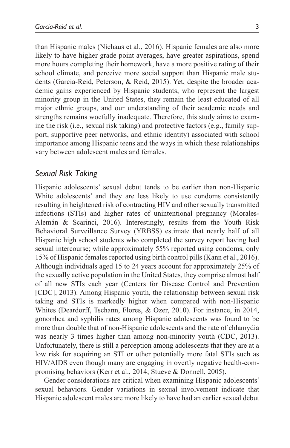than Hispanic males (Niehaus et al., 2016). Hispanic females are also more likely to have higher grade point averages, have greater aspirations, spend more hours completing their homework, have a more positive rating of their school climate, and perceive more social support than Hispanic male students (Garcia-Reid, Peterson, & Reid, 2015). Yet, despite the broader academic gains experienced by Hispanic students, who represent the largest minority group in the United States, they remain the least educated of all major ethnic groups, and our understanding of their academic needs and strengths remains woefully inadequate. Therefore, this study aims to examine the risk (i.e., sexual risk taking) and protective factors (e.g., family support, supportive peer networks, and ethnic identity) associated with school importance among Hispanic teens and the ways in which these relationships vary between adolescent males and females.

### *Sexual Risk Taking*

Hispanic adolescents' sexual debut tends to be earlier than non-Hispanic White adolescents' and they are less likely to use condoms consistently resulting in heightened risk of contracting HIV and other sexually transmitted infections (STIs) and higher rates of unintentional pregnancy (Morales-Alemán & Scarinci, 2016). Interestingly, results from the Youth Risk Behavioral Surveillance Survey (YRBSS) estimate that nearly half of all Hispanic high school students who completed the survey report having had sexual intercourse; while approximately 55% reported using condoms, only 15% of Hispanic females reported using birth control pills (Kann et al., 2016). Although individuals aged 15 to 24 years account for approximately 25% of the sexually active population in the United States, they comprise almost half of all new STIs each year (Centers for Disease Control and Prevention [CDC], 2013). Among Hispanic youth, the relationship between sexual risk taking and STIs is markedly higher when compared with non-Hispanic Whites (Deardorff, Tschann, Flores, & Ozer, 2010). For instance, in 2014, gonorrhea and syphilis rates among Hispanic adolescents was found to be more than double that of non-Hispanic adolescents and the rate of chlamydia was nearly 3 times higher than among non-minority youth (CDC, 2013). Unfortunately, there is still a perception among adolescents that they are at a low risk for acquiring an STI or other potentially more fatal STIs such as HIV/AIDS even though many are engaging in overtly negative health-compromising behaviors (Kerr et al., 2014; Stueve & Donnell, 2005).

Gender considerations are critical when examining Hispanic adolescents' sexual behaviors. Gender variations in sexual involvement indicate that Hispanic adolescent males are more likely to have had an earlier sexual debut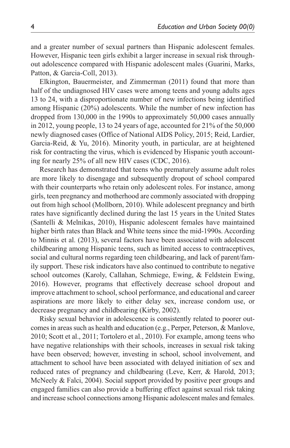and a greater number of sexual partners than Hispanic adolescent females. However, Hispanic teen girls exhibit a larger increase in sexual risk throughout adolescence compared with Hispanic adolescent males (Guarini, Marks, Patton, & Garcia-Coll, 2013).

Elkington, Bauermeister, and Zimmerman (2011) found that more than half of the undiagnosed HIV cases were among teens and young adults ages 13 to 24, with a disproportionate number of new infections being identified among Hispanic (20%) adolescents. While the number of new infection has dropped from 130,000 in the 1990s to approximately 50,000 cases annually in 2012, young people, 13 to 24 years of age, accounted for 21% of the 50,000 newly diagnosed cases (Office of National AIDS Policy, 2015; Reid, Lardier, Garcia-Reid, & Yu, 2016). Minority youth, in particular, are at heightened risk for contracting the virus, which is evidenced by Hispanic youth accounting for nearly 25% of all new HIV cases (CDC, 2016).

Research has demonstrated that teens who prematurely assume adult roles are more likely to disengage and subsequently dropout of school compared with their counterparts who retain only adolescent roles. For instance, among girls, teen pregnancy and motherhood are commonly associated with dropping out from high school (Mollborn, 2010). While adolescent pregnancy and birth rates have significantly declined during the last 15 years in the United States (Santelli & Melnikas, 2010), Hispanic adolescent females have maintained higher birth rates than Black and White teens since the mid-1990s. According to Minnis et al. (2013), several factors have been associated with adolescent childbearing among Hispanic teens, such as limited access to contraceptives, social and cultural norms regarding teen childbearing, and lack of parent/family support. These risk indicators have also continued to contribute to negative school outcomes (Karoly, Callahan, Schmiege, Ewing, & Feldstein Ewing, 2016). However, programs that effectively decrease school dropout and improve attachment to school, school performance, and educational and career aspirations are more likely to either delay sex, increase condom use, or decrease pregnancy and childbearing (Kirby, 2002).

Risky sexual behavior in adolescence is consistently related to poorer outcomes in areas such as health and education (e.g., Perper, Peterson, & Manlove, 2010; Scott et al., 2011; Tortolero et al., 2010). For example, among teens who have negative relationships with their schools, increases in sexual risk taking have been observed; however, investing in school, school involvement, and attachment to school have been associated with delayed initiation of sex and reduced rates of pregnancy and childbearing (Leve, Kerr, & Harold, 2013; McNeely & Falci, 2004). Social support provided by positive peer groups and engaged families can also provide a buffering effect against sexual risk taking and increase school connections among Hispanic adolescent males and females.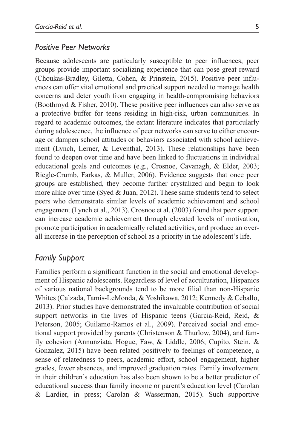#### *Positive Peer Networks*

Because adolescents are particularly susceptible to peer influences, peer groups provide important socializing experience that can pose great reward (Choukas-Bradley, Giletta, Cohen, & Prinstein, 2015). Positive peer influences can offer vital emotional and practical support needed to manage health concerns and deter youth from engaging in health-compromising behaviors (Boothroyd & Fisher, 2010). These positive peer influences can also serve as a protective buffer for teens residing in high-risk, urban communities. In regard to academic outcomes, the extant literature indicates that particularly during adolescence, the influence of peer networks can serve to either encourage or dampen school attitudes or behaviors associated with school achievement (Lynch, Lerner, & Leventhal, 2013). These relationships have been found to deepen over time and have been linked to fluctuations in individual educational goals and outcomes (e.g., Crosnoe, Cavanagh, & Elder, 2003; Riegle-Crumb, Farkas, & Muller, 2006). Evidence suggests that once peer groups are established, they become further crystalized and begin to look more alike over time (Syed & Juan, 2012). These same students tend to select peers who demonstrate similar levels of academic achievement and school engagement (Lynch et al., 2013). Crosnoe et al. (2003) found that peer support can increase academic achievement through elevated levels of motivation, promote participation in academically related activities, and produce an overall increase in the perception of school as a priority in the adolescent's life.

#### *Family Support*

Families perform a significant function in the social and emotional development of Hispanic adolescents. Regardless of level of acculturation, Hispanics of various national backgrounds tend to be more filial than non-Hispanic Whites (Calzada, Tamis-LeMonda, & Yoshikawa, 2012; Kennedy & Ceballo, 2013). Prior studies have demonstrated the invaluable contribution of social support networks in the lives of Hispanic teens (Garcia-Reid, Reid, & Peterson, 2005; Guilamo-Ramos et al., 2009). Perceived social and emotional support provided by parents (Christenson & Thurlow, 2004), and family cohesion (Annunziata, Hogue, Faw, & Liddle, 2006; Cupito, Stein, & Gonzalez, 2015) have been related positively to feelings of competence, a sense of relatedness to peers, academic effort, school engagement, higher grades, fewer absences, and improved graduation rates. Family involvement in their children's education has also been shown to be a better predictor of educational success than family income or parent's education level (Carolan & Lardier, in press; Carolan & Wasserman, 2015). Such supportive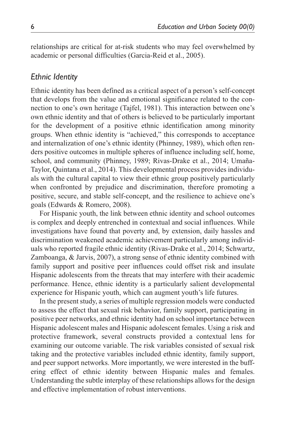relationships are critical for at-risk students who may feel overwhelmed by academic or personal difficulties (Garcia-Reid et al., 2005).

### *Ethnic Identity*

Ethnic identity has been defined as a critical aspect of a person's self-concept that develops from the value and emotional significance related to the connection to one's own heritage (Tajfel, 1981). This interaction between one's own ethnic identity and that of others is believed to be particularly important for the development of a positive ethnic identification among minority groups. When ethnic identity is "achieved," this corresponds to acceptance and internalization of one's ethnic identity (Phinney, 1989), which often renders positive outcomes in multiple spheres of influence including self, home, school, and community (Phinney, 1989; Rivas-Drake et al., 2014; Umaña-Taylor, Quintana et al., 2014). This developmental process provides individuals with the cultural capital to view their ethnic group positively particularly when confronted by prejudice and discrimination, therefore promoting a positive, secure, and stable self-concept, and the resilience to achieve one's goals (Edwards & Romero, 2008).

For Hispanic youth, the link between ethnic identity and school outcomes is complex and deeply entrenched in contextual and social influences. While investigations have found that poverty and, by extension, daily hassles and discrimination weakened academic achievement particularly among individuals who reported fragile ethnic identity (Rivas-Drake et al., 2014; Schwartz, Zamboanga, & Jarvis, 2007), a strong sense of ethnic identity combined with family support and positive peer influences could offset risk and insulate Hispanic adolescents from the threats that may interfere with their academic performance. Hence, ethnic identity is a particularly salient developmental experience for Hispanic youth, which can augment youth's life futures.

In the present study, a series of multiple regression models were conducted to assess the effect that sexual risk behavior, family support, participating in positive peer networks, and ethnic identity had on school importance between Hispanic adolescent males and Hispanic adolescent females. Using a risk and protective framework, several constructs provided a contextual lens for examining our outcome variable. The risk variables consisted of sexual risk taking and the protective variables included ethnic identity, family support, and peer support networks. More importantly, we were interested in the buffering effect of ethnic identity between Hispanic males and females. Understanding the subtle interplay of these relationships allows for the design and effective implementation of robust interventions.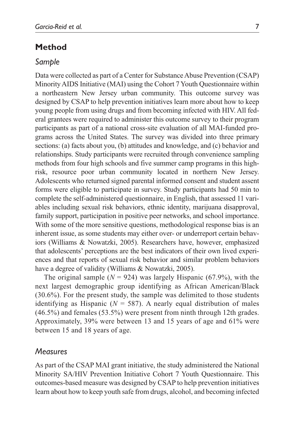### **Method**

#### *Sample*

Data were collected as part of a Center for Substance Abuse Prevention (CSAP) Minority AIDS Initiative (MAI) using the Cohort 7 Youth Questionnaire within a northeastern New Jersey urban community. This outcome survey was designed by CSAP to help prevention initiatives learn more about how to keep young people from using drugs and from becoming infected with HIV. All federal grantees were required to administer this outcome survey to their program participants as part of a national cross-site evaluation of all MAI-funded programs across the United States. The survey was divided into three primary sections: (a) facts about you, (b) attitudes and knowledge, and (c) behavior and relationships. Study participants were recruited through convenience sampling methods from four high schools and five summer camp programs in this highrisk, resource poor urban community located in northern New Jersey. Adolescents who returned signed parental informed consent and student assent forms were eligible to participate in survey. Study participants had 50 min to complete the self-administered questionnaire, in English, that assessed 11 variables including sexual risk behaviors, ethnic identity, marijuana disapproval, family support, participation in positive peer networks, and school importance. With some of the more sensitive questions, methodological response bias is an inherent issue, as some students may either over- or underreport certain behaviors (Williams & Nowatzki, 2005). Researchers have, however, emphasized that adolescents' perceptions are the best indicators of their own lived experiences and that reports of sexual risk behavior and similar problem behaviors have a degree of validity (Williams & Nowatzki, 2005).

The original sample  $(N = 924)$  was largely Hispanic (67.9%), with the next largest demographic group identifying as African American/Black (30.6%). For the present study, the sample was delimited to those students identifying as Hispanic ( $N = 587$ ). A nearly equal distribution of males (46.5%) and females (53.5%) were present from ninth through 12th grades. Approximately, 39% were between 13 and 15 years of age and 61% were between 15 and 18 years of age.

#### *Measures*

As part of the CSAP MAI grant initiative, the study administered the National Minority SA/HIV Prevention Initiative Cohort 7 Youth Questionnaire. This outcomes-based measure was designed by CSAP to help prevention initiatives learn about how to keep youth safe from drugs, alcohol, and becoming infected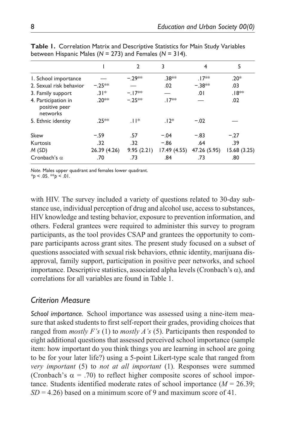|                                                  |              | $\mathbf{2}$ | 3           | 4            | 5                  |
|--------------------------------------------------|--------------|--------------|-------------|--------------|--------------------|
| 1. School importance                             |              | $-29**$      | .38**       | $.17**$      | $.20*$             |
| 2. Sexual risk behavior                          | $-.25**$     |              | .02         | $-.38**$     | .03                |
| 3. Family support                                | $.31*$       | $-17**$      |             | .01          | .18 <sup>∗</sup> * |
| 4. Participation in<br>positive peer<br>networks | .20**        | $-25**$      | .17**       |              | .02                |
| 5. Ethnic identity                               | $25**$       | $11*$        | $.12*$      | $-.02$       |                    |
| Skew                                             | $-.59$       | .57          | $-.04$      | $-.83$       | $-.27$             |
| Kurtosis                                         | .32          | .32          | $-.86$      | .64          | .39                |
| M(SD)                                            | 26.39 (4.26) | 9.95(2.21)   | 17.49(4.55) | 47.26 (5.95) | 15.68(3.25)        |
| Cronbach's $\alpha$                              | .70          | .73          | .84         | .73          | .80                |

**Table 1.** Correlation Matrix and Descriptive Statistics for Main Study Variables between Hispanic Males (*N* = 273) and Females (*N* = 314).

*Note.* Males upper quadrant and females lower quadrant.

*\*p* < .05. \*\**p* < .01.

with HIV. The survey included a variety of questions related to 30-day substance use, individual perception of drug and alcohol use, access to substances, HIV knowledge and testing behavior, exposure to prevention information, and others. Federal grantees were required to administer this survey to program participants, as the tool provides CSAP and grantees the opportunity to compare participants across grant sites. The present study focused on a subset of questions associated with sexual risk behaviors, ethnic identity, marijuana disapproval, family support, participation in positive peer networks, and school importance. Descriptive statistics, associated alpha levels (Cronbach's  $\alpha$ ), and correlations for all variables are found in Table 1.

#### *Criterion Measure*

*School importance.* School importance was assessed using a nine-item measure that asked students to first self-report their grades, providing choices that ranged from *mostly F's* (1) to *mostly A's* (5). Participants then responded to eight additional questions that assessed perceived school importance (sample item: how important do you think things you are learning in school are going to be for your later life?) using a 5-point Likert-type scale that ranged from *very important* (5) to *not at all important* (1). Responses were summed (Cronbach's  $\alpha$  = .70) to reflect higher composite scores of school importance. Students identified moderate rates of school importance  $(M = 26.39)$ ;  $SD = 4.26$ ) based on a minimum score of 9 and maximum score of 41.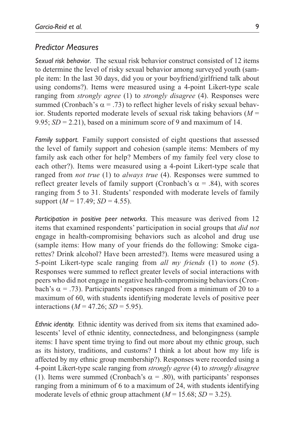### *Predictor Measures*

*Sexual risk behavior.* The sexual risk behavior construct consisted of 12 items to determine the level of risky sexual behavior among surveyed youth (sample item: In the last 30 days, did you or your boyfriend/girlfriend talk about using condoms?). Items were measured using a 4-point Likert-type scale ranging from *strongly agree* (1) to *strongly disagree* (4). Responses were summed (Cronbach's  $\alpha$  = .73) to reflect higher levels of risky sexual behavior. Students reported moderate levels of sexual risk taking behaviors (*M* = 9.95;  $SD = 2.21$ ), based on a minimum score of 9 and maximum of 14.

*Family support.* Family support consisted of eight questions that assessed the level of family support and cohesion (sample items: Members of my family ask each other for help? Members of my family feel very close to each other?). Items were measured using a 4-point Likert-type scale that ranged from *not true* (1) to *always true* (4). Responses were summed to reflect greater levels of family support (Cronbach's  $\alpha$  = .84), with scores ranging from 5 to 31. Students' responded with moderate levels of family support  $(M = 17.49; SD = 4.55)$ .

*Participation in positive peer networks.* This measure was derived from 12 items that examined respondents' participation in social groups that *did not* engage in health-compromising behaviors such as alcohol and drug use (sample items: How many of your friends do the following: Smoke cigarettes? Drink alcohol? Have been arrested?). Items were measured using a 5-point Likert-type scale ranging from *all my friends* (1) to *none* (5). Responses were summed to reflect greater levels of social interactions with peers who did not engage in negative health-compromising behaviors (Cronbach's  $\alpha$  = .73). Participants' responses ranged from a minimum of 20 to a maximum of 60, with students identifying moderate levels of positive peer interactions ( $M = 47.26$ ;  $SD = 5.95$ ).

*Ethnic identity.* Ethnic identity was derived from six items that examined adolescents' level of ethnic identity, connectedness, and belongingness (sample items: I have spent time trying to find out more about my ethnic group, such as its history, traditions, and customs? I think a lot about how my life is affected by my ethnic group membership?). Responses were recorded using a 4-point Likert-type scale ranging from *strongly agree* (4) to *strongly disagree* (1). Items were summed (Cronbach's  $\alpha$  = .80), with participants' responses ranging from a minimum of 6 to a maximum of 24, with students identifying moderate levels of ethnic group attachment  $(M = 15.68; SD = 3.25)$ .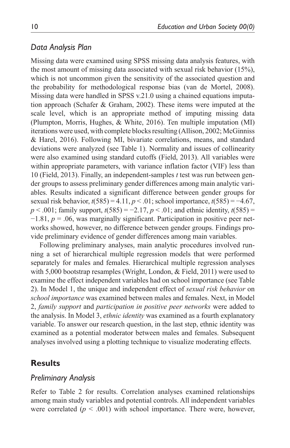### *Data Analysis Plan*

Missing data were examined using SPSS missing data analysis features, with the most amount of missing data associated with sexual risk behavior (15%), which is not uncommon given the sensitivity of the associated question and the probability for methodological response bias (van de Mortel, 2008). Missing data were handled in SPSS v.21.0 using a chained equations imputation approach (Schafer & Graham, 2002). These items were imputed at the scale level, which is an appropriate method of imputing missing data (Plumpton, Morris, Hughes, & White, 2016). Ten multiple imputation (MI) iterations were used, with complete blocks resulting (Allison, 2002; McGinniss & Harel, 2016). Following MI, bivariate correlations, means, and standard deviations were analyzed (see Table 1). Normality and issues of collinearity were also examined using standard cutoffs (Field, 2013). All variables were within appropriate parameters, with variance inflation factor (VIF) less than 10 (Field, 2013). Finally, an independent-samples *t* test was run between gender groups to assess preliminary gender differences among main analytic variables. Results indicated a significant difference between gender groups for sexual risk behavior, *t*(585) = 4.11, *p* < .01; school importance, *t*(585) = −4.67, *p* < .001; family support, *t*(585) = −2.17, *p* < .01; and ethnic identity, *t*(585) = −1.81, *p* = .06, was marginally significant. Participation in positive peer networks showed, however, no difference between gender groups. Findings provide preliminary evidence of gender differences among main variables.

Following preliminary analyses, main analytic procedures involved running a set of hierarchical multiple regression models that were performed separately for males and females. Hierarchical multiple regression analyses with 5,000 bootstrap resamples (Wright, London, & Field, 2011) were used to examine the effect independent variables had on school importance (see Table 2). In Model 1, the unique and independent effect of *sexual risk behavior* on *school importance* was examined between males and females. Next, in Model 2, *family support* and *participation in positive peer networks* were added to the analysis. In Model 3, *ethnic identity* was examined as a fourth explanatory variable. To answer our research question, in the last step, ethnic identity was examined as a potential moderator between males and females. Subsequent analyses involved using a plotting technique to visualize moderating effects.

### **Results**

### *Preliminary Analysis*

Refer to Table 2 for results. Correlation analyses examined relationships among main study variables and potential controls. All independent variables were correlated  $(p < .001)$  with school importance. There were, however,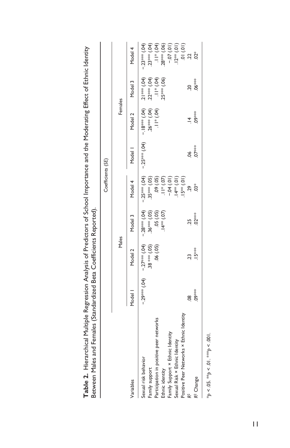|                                                                                                                                                                                                                                                      |                        |                                                 |                                                               | Coefficients (SE)                                                                                         |                |                                                                                                                                                                                                                                                                                      |                                                                   |                                                                                                                                        |
|------------------------------------------------------------------------------------------------------------------------------------------------------------------------------------------------------------------------------------------------------|------------------------|-------------------------------------------------|---------------------------------------------------------------|-----------------------------------------------------------------------------------------------------------|----------------|--------------------------------------------------------------------------------------------------------------------------------------------------------------------------------------------------------------------------------------------------------------------------------------|-------------------------------------------------------------------|----------------------------------------------------------------------------------------------------------------------------------------|
|                                                                                                                                                                                                                                                      |                        | Males                                           |                                                               |                                                                                                           |                | Females                                                                                                                                                                                                                                                                              |                                                                   |                                                                                                                                        |
| Variables                                                                                                                                                                                                                                            | Model                  | Model 2                                         | Model 3                                                       | Model 4                                                                                                   | Model I        | Model 2                                                                                                                                                                                                                                                                              | Model 3                                                           | Model 4                                                                                                                                |
| Positive Peer Networks × Ethnic Identity<br>Participation in positive peer networks<br>Family Support × Ethnic Identity<br>Sexual Risk × Ethnic Identity<br>Sexual risk behavior<br>Family support<br>Ethnic identity<br>R <sup>2</sup> Change<br>R2 | 09***<br>$\frac{8}{2}$ | $(50)$ *** $(05)$<br>.06(0.5)<br>$.15***$<br>23 | $.36*** (.05)$<br>(05)(05)<br>$(14** (07))$<br>$.02***$<br>25 | $.35*** (.05)$<br>$(1) * (07)$<br>(0.05)<br>$(15^{**}(01))$<br>$-0.04(0.1)$<br>$(10)$ ***<br>$.03*$<br>29 | $0^{***}$<br>8 | $(4)$ $(0.94)$ $(0.94)$ $(0.94)$ $(0.94)$ $(0.94)$ $(0.94)$ $(0.94)$ $(0.94)$ $(0.94)$ $(0.94)$ $(0.94)$ $(0.94)$ $(0.94)$ $(0.94)$ $(0.94)$ $(0.94)$ $(0.94)$ $(0.94)$ $(0.94)$ $(0.94)$ $(0.94)$ $(0.94)$ $(0.94)$ $(0.94)$<br>$26*** (04)$<br>$  $ $* (04)$<br>09***<br>$\vec{r}$ | $.22***(.04)$<br>$.25***(.06)$<br>$(40)$ * $11$<br>$.06***$<br>20 | $-23***$ (.04)<br>$.23***(.04)$<br>$1  * (04)$<br>$.28***(.06)$<br>$.12***(01)$<br>$(10)$ $(0)$<br>$(10)$ $(0)$<br>$\tilde{O}^*$<br>22 |

Table 2. Hierarchical Multiple Regression Analysis of Predictors of School Importance and the Moderating Effect of Ethnic Identity<br>Between Males and Females (Standardized Beta Coefficients Reported). **Table 2.** Hierarchical Multiple Regression Analysis of Predictors of School Importance and the Moderating Effect of Ethnic Identity Between Males and Females (Standardized Beta Coefficients Reported).

 $*p < .05.$   $*kp < .01.$   $*exp < .001.$ \**p* < .05. \*\**p* < .01. \*\*\**p* < .001.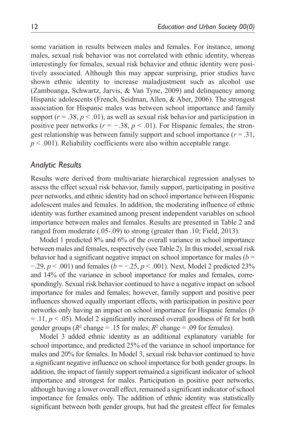some variation in results between males and females. For instance, among males, sexual risk behavior was not correlated with ethnic identity, whereas interestingly for females, sexual risk behavior and ethnic identity were positively associated. Although this may appear surprising, prior studies have shown ethnic identity to increase maladjustment such as alcohol use (Zamboanga, Schwartz, Jarvis, & Van Tyne, 2009) and delinquency among Hispanic adolescents (French, Seidman, Allen, & Aber, 2006). The strongest association for Hispanic males was between school importance and family support  $(r = .38, p < .01)$ , as well as sexual risk behavior and participation in positive peer networks ( $r = -0.38$ ,  $p < 0.01$ ). For Hispanic females, the strongest relationship was between family support and school importance  $(r = .31, ...)$  $p < .001$ ). Reliability coefficients were also within acceptable range.

#### *Analytic Results*

Results were derived from multivariate hierarchical regression analyses to assess the effect sexual risk behavior, family support, participating in positive peer networks, and ethnic identity had on school importance between Hispanic adolescent males and females. In addition, the moderating influence of ethnic identity was further examined among present independent variables on school importance between males and females. Results are presented in Table 2 and ranged from moderate (.05-.09) to strong (greater than .10; Field, 2013).

Model 1 predicted 8% and 6% of the overall variance in school importance between males and females, respectively (see Table 2). In this model, sexual risk behavior had a significant negative impact on school importance for males  $(b =$ −.29, *p* < .001) and females (*b* = −.25, *p* < .001). Next, Model 2 predicted 23% and 14% of the variance in school importance for males and females, correspondingly. Sexual risk behavior continued to have a negative impact on school importance for males and females; however, family support and positive peer influences showed equally important effects, with participation in positive peer networks only having an impact on school importance for Hispanic females (*b*  $=$  .11,  $p \le 0.05$ ). Model 2 significantly increased overall goodness of fit for both gender groups ( $R^2$  change = .15 for males;  $R^2$  change = .09 for females).

Model 3 added ethnic identity as an additional explanatory variable for school importance, and predicted 25% of the variance in school importance for males and 20% for females. In Model 3, sexual risk behavior continued to have a significant negative influence on school importance for both gender groups. In addition, the impact of family support remained a significant indicator of school importance and strongest for males. Participation in positive peer networks, although having a lower overall effect, remained a significant indicator of school importance for females only. The addition of ethnic identity was statistically significant between both gender groups, but had the greatest effect for females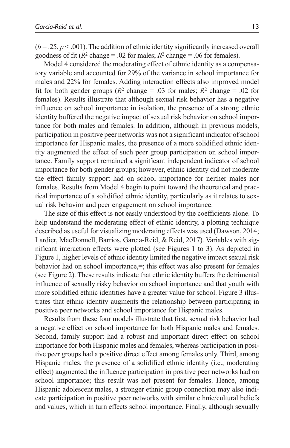$(b = .25, p < .001)$ . The addition of ethnic identity significantly increased overall goodness of fit ( $R^2$  change = .02 for males;  $R^2$  change = .06 for females).

Model 4 considered the moderating effect of ethnic identity as a compensatory variable and accounted for 29% of the variance in school importance for males and 22% for females. Adding interaction effects also improved model fit for both gender groups ( $R^2$  change = .03 for males;  $R^2$  change = .02 for females). Results illustrate that although sexual risk behavior has a negative influence on school importance in isolation, the presence of a strong ethnic identity buffered the negative impact of sexual risk behavior on school importance for both males and females. In addition, although in previous models, participation in positive peer networks was not a significant indicator of school importance for Hispanic males, the presence of a more solidified ethnic identity augmented the effect of such peer group participation on school importance. Family support remained a significant independent indicator of school importance for both gender groups; however, ethnic identity did not moderate the effect family support had on school importance for neither males nor females. Results from Model 4 begin to point toward the theoretical and practical importance of a solidified ethnic identity, particularly as it relates to sexual risk behavior and peer engagement on school importance.

The size of this effect is not easily understood by the coefficients alone. To help understand the moderating effect of ethnic identity, a plotting technique described as useful for visualizing moderating effects was used (Dawson, 2014; Lardier, MacDonnell, Barrios, Garcia-Reid, & Reid, 2017). Variables with significant interaction effects were plotted (see Figures 1 to 3). As depicted in Figure 1, higher levels of ethnic identity limited the negative impact sexual risk behavior had on school importance,=; this effect was also present for females (see Figure 2). These results indicate that ethnic identity buffers the detrimental influence of sexually risky behavior on school importance and that youth with more solidified ethnic identities have a greater value for school. Figure 3 illustrates that ethnic identity augments the relationship between participating in positive peer networks and school importance for Hispanic males.

Results from these four models illustrate that first, sexual risk behavior had a negative effect on school importance for both Hispanic males and females. Second, family support had a robust and important direct effect on school importance for both Hispanic males and females, whereas participation in positive peer groups had a positive direct effect among females only. Third, among Hispanic males, the presence of a solidified ethnic identity (i.e., moderating effect) augmented the influence participation in positive peer networks had on school importance; this result was not present for females. Hence, among Hispanic adolescent males, a stronger ethnic group connection may also indicate participation in positive peer networks with similar ethnic/cultural beliefs and values, which in turn effects school importance. Finally, although sexually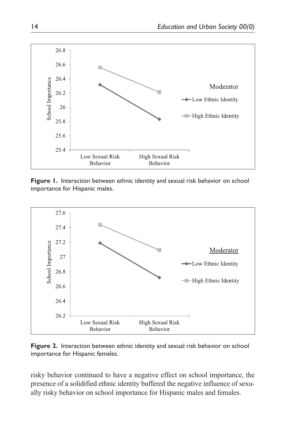

**Figure 1.** Interaction between ethnic identity and sexual risk behavior on school importance for Hispanic males.





risky behavior continued to have a negative effect on school importance, the presence of a solidified ethnic identity buffered the negative influence of sexually risky behavior on school importance for Hispanic males and females.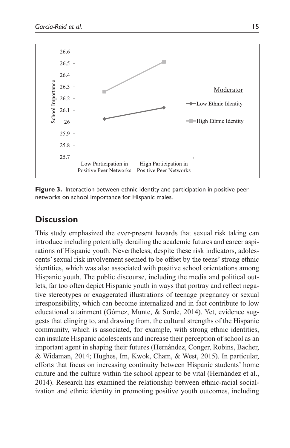

**Figure 3.** Interaction between ethnic identity and participation in positive peer networks on school importance for Hispanic males.

# **Discussion**

This study emphasized the ever-present hazards that sexual risk taking can introduce including potentially derailing the academic futures and career aspirations of Hispanic youth. Nevertheless, despite these risk indicators, adolescents' sexual risk involvement seemed to be offset by the teens' strong ethnic identities, which was also associated with positive school orientations among Hispanic youth. The public discourse, including the media and political outlets, far too often depict Hispanic youth in ways that portray and reflect negative stereotypes or exaggerated illustrations of teenage pregnancy or sexual irresponsibility, which can become internalized and in fact contribute to low educational attainment (Gómez, Munte, & Sorde, 2014). Yet, evidence suggests that clinging to, and drawing from, the cultural strengths of the Hispanic community, which is associated, for example, with strong ethnic identities, can insulate Hispanic adolescents and increase their perception of school as an important agent in shaping their futures (Hernández, Conger, Robins, Bacher, & Widaman, 2014; Hughes, Im, Kwok, Cham, & West, 2015). In particular, efforts that focus on increasing continuity between Hispanic students' home culture and the culture within the school appear to be vital (Hernández et al., 2014). Research has examined the relationship between ethnic-racial socialization and ethnic identity in promoting positive youth outcomes, including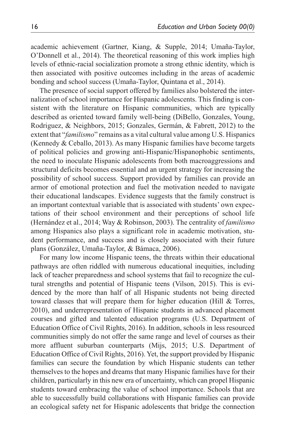academic achievement (Gartner, Kiang, & Supple, 2014; Umaña-Taylor, O'Donnell et al., 2014). The theoretical reasoning of this work implies high levels of ethnic-racial socialization promote a strong ethnic identity, which is then associated with positive outcomes including in the areas of academic bonding and school success (Umaña-Taylor, Quintana et al., 2014).

The presence of social support offered by families also bolstered the internalization of school importance for Hispanic adolescents. This finding is consistent with the literature on Hispanic communities, which are typically described as oriented toward family well-being (DiBello, Gonzales, Young, Rodriguez, & Neighbors, 2015; Gonzales, Germán, & Fabrett, 2012) to the extent that "*familismo*" remains as a vital cultural value among U.S. Hispanics (Kennedy & Ceballo, 2013). As many Hispanic families have become targets of political policies and growing anti-Hispanic/Hispanophobic sentiments, the need to inoculate Hispanic adolescents from both macroaggressions and structural deficits becomes essential and an urgent strategy for increasing the possibility of school success. Support provided by families can provide an armor of emotional protection and fuel the motivation needed to navigate their educational landscapes. Evidence suggests that the family construct is an important contextual variable that is associated with students' own expectations of their school environment and their perceptions of school life (Hernández et al., 2014; Way & Robinson, 2003). The centrality of *familismo* among Hispanics also plays a significant role in academic motivation, student performance, and success and is closely associated with their future plans (González, Umaña-Taylor, & Bámaca, 2006).

For many low income Hispanic teens, the threats within their educational pathways are often riddled with numerous educational inequities, including lack of teacher preparedness and school systems that fail to recognize the cultural strengths and potential of Hispanic teens (Vilson, 2015). This is evidenced by the more than half of all Hispanic students not being directed toward classes that will prepare them for higher education (Hill & Torres, 2010), and underrepresentation of Hispanic students in advanced placement courses and gifted and talented education programs (U.S. Department of Education Office of Civil Rights, 2016). In addition, schools in less resourced communities simply do not offer the same range and level of courses as their more affluent suburban counterparts (Mijs, 2015; U.S. Department of Education Office of Civil Rights, 2016). Yet, the support provided by Hispanic families can secure the foundation by which Hispanic students can tether themselves to the hopes and dreams that many Hispanic families have for their children, particularly in this new era of uncertainty, which can propel Hispanic students toward embracing the value of school importance. Schools that are able to successfully build collaborations with Hispanic families can provide an ecological safety net for Hispanic adolescents that bridge the connection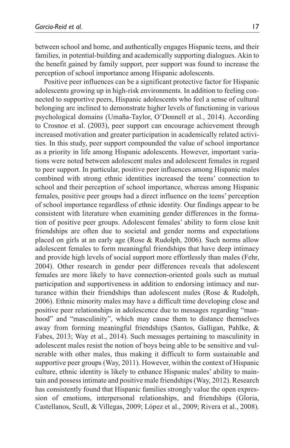between school and home, and authentically engages Hispanic teens, and their families, in potential-building and academically supporting dialogues. Akin to the benefit gained by family support, peer support was found to increase the perception of school importance among Hispanic adolescents.

Positive peer influences can be a significant protective factor for Hispanic adolescents growing up in high-risk environments. In addition to feeling connected to supportive peers, Hispanic adolescents who feel a sense of cultural belonging are inclined to demonstrate higher levels of functioning in various psychological domains (Umaña-Taylor, O'Donnell et al., 2014). According to Crosnoe et al. (2003), peer support can encourage achievement through increased motivation and greater participation in academically related activities. In this study, peer support compounded the value of school importance as a priority in life among Hispanic adolescents. However, important variations were noted between adolescent males and adolescent females in regard to peer support. In particular, positive peer influences among Hispanic males combined with strong ethnic identities increased the teens' connection to school and their perception of school importance, whereas among Hispanic females, positive peer groups had a direct influence on the teens' perception of school importance regardless of ethnic identity. Our findings appear to be consistent with literature when examining gender differences in the formation of positive peer groups. Adolescent females' ability to form close knit friendships are often due to societal and gender norms and expectations placed on girls at an early age (Rose & Rudolph, 2006). Such norms allow adolescent females to form meaningful friendships that have deep intimacy and provide high levels of social support more effortlessly than males (Fehr, 2004). Other research in gender peer differences reveals that adolescent females are more likely to have connection-oriented goals such as mutual participation and supportiveness in addition to endorsing intimacy and nurturance within their friendships than adolescent males (Rose & Rudolph, 2006). Ethnic minority males may have a difficult time developing close and positive peer relationships in adolescence due to messages regarding "manhood" and "masculinity", which may cause them to distance themselves away from forming meaningful friendships (Santos, Galligan, Pahlke, & Fabes, 2013; Way et al., 2014). Such messages pertaining to masculinity in adolescent males resist the notion of boys being able to be sensitive and vulnerable with other males, thus making it difficult to form sustainable and supportive peer groups (Way, 2011). However, within the context of Hispanic culture, ethnic identity is likely to enhance Hispanic males' ability to maintain and possess intimate and positive male friendships (Way, 2012). Research has consistently found that Hispanic families strongly value the open expression of emotions, interpersonal relationships, and friendships (Gloria, Castellanos, Scull, & Villegas, 2009; López et al., 2009; Rivera et al., 2008).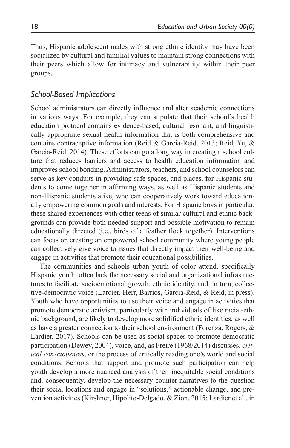Thus, Hispanic adolescent males with strong ethnic identity may have been socialized by cultural and familial values to maintain strong connections with their peers which allow for intimacy and vulnerability within their peer groups.

#### *School-Based Implications*

School administrators can directly influence and alter academic connections in various ways. For example, they can stipulate that their school's health education protocol contains evidence-based, cultural resonant, and linguistically appropriate sexual health information that is both comprehensive and contains contraceptive information (Reid & Garcia-Reid, 2013; Reid, Yu, & Garcia-Reid, 2014). These efforts can go a long way in creating a school culture that reduces barriers and access to health education information and improves school bonding. Administrators, teachers, and school counselors can serve as key conduits in providing safe spaces, and places, for Hispanic students to come together in affirming ways, as well as Hispanic students and non-Hispanic students alike, who can cooperatively work toward educationally empowering common goals and interests. For Hispanic boys in particular, these shared experiences with other teens of similar cultural and ethnic backgrounds can provide both needed support and possible motivation to remain educationally directed (i.e., birds of a feather flock together). Interventions can focus on creating an empowered school community where young people can collectively give voice to issues that directly impact their well-being and engage in activities that promote their educational possibilities.

The communities and schools urban youth of color attend, specifically Hispanic youth, often lack the necessary social and organizational infrastructures to facilitate socioemotional growth, ethnic identity, and, in turn, collective-democratic voice (Lardier, Herr, Barrios, Garcia-Reid, & Reid, in press). Youth who have opportunities to use their voice and engage in activities that promote democratic activism, particularly with individuals of like racial-ethnic background, are likely to develop more solidified ethnic identities, as well as have a greater connection to their school environment (Forenza, Rogers, & Lardier, 2017). Schools can be used as social spaces to promote democratic participation (Dewey, 2004), voice, and, as Freire (1968/2014) discusses, *critical consciousness*, or the process of critically reading one's world and social conditions. Schools that support and promote such participation can help youth develop a more nuanced analysis of their inequitable social conditions and, consequently, develop the necessary counter-narratives to the question their social locations and engage in "solutions," actionable change, and prevention activities (Kirshner, Hipolito-Delgado, & Zion, 2015; Lardier et al., in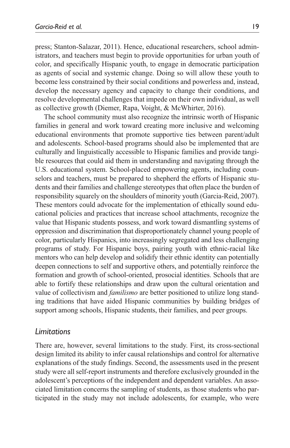press; Stanton-Salazar, 2011). Hence, educational researchers, school administrators, and teachers must begin to provide opportunities for urban youth of color, and specifically Hispanic youth, to engage in democratic participation as agents of social and systemic change. Doing so will allow these youth to become less constrained by their social conditions and powerless and, instead, develop the necessary agency and capacity to change their conditions, and resolve developmental challenges that impede on their own individual, as well as collective growth (Diemer, Rapa, Voight, & McWhirter, 2016).

The school community must also recognize the intrinsic worth of Hispanic families in general and work toward creating more inclusive and welcoming educational environments that promote supportive ties between parent/adult and adolescents. School-based programs should also be implemented that are culturally and linguistically accessible to Hispanic families and provide tangible resources that could aid them in understanding and navigating through the U.S. educational system. School-placed empowering agents, including counselors and teachers, must be prepared to shepherd the efforts of Hispanic students and their families and challenge stereotypes that often place the burden of responsibility squarely on the shoulders of minority youth (Garcia-Reid, 2007). These mentors could advocate for the implementation of ethically sound educational policies and practices that increase school attachments, recognize the value that Hispanic students possess, and work toward dismantling systems of oppression and discrimination that disproportionately channel young people of color, particularly Hispanics, into increasingly segregated and less challenging programs of study. For Hispanic boys, pairing youth with ethnic-racial like mentors who can help develop and solidify their ethnic identity can potentially deepen connections to self and supportive others, and potentially reinforce the formation and growth of school-oriented, prosocial identities. Schools that are able to fortify these relationships and draw upon the cultural orientation and value of collectivism and *familismo* are better positioned to utilize long standing traditions that have aided Hispanic communities by building bridges of support among schools, Hispanic students, their families, and peer groups.

#### *Limitations*

There are, however, several limitations to the study. First, its cross-sectional design limited its ability to infer causal relationships and control for alternative explanations of the study findings. Second, the assessments used in the present study were all self-report instruments and therefore exclusively grounded in the adolescent's perceptions of the independent and dependent variables. An associated limitation concerns the sampling of students, as those students who participated in the study may not include adolescents, for example, who were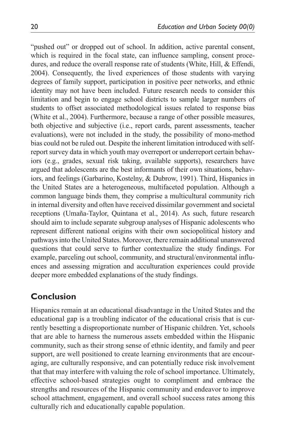"pushed out" or dropped out of school. In addition, active parental consent, which is required in the focal state, can influence sampling, consent procedures, and reduce the overall response rate of students (White, Hill, & Effendi, 2004). Consequently, the lived experiences of those students with varying degrees of family support, participation in positive peer networks, and ethnic identity may not have been included. Future research needs to consider this limitation and begin to engage school districts to sample larger numbers of students to offset associated methodological issues related to response bias (White et al., 2004). Furthermore, because a range of other possible measures, both objective and subjective (i.e., report cards, parent assessments, teacher evaluations), were not included in the study, the possibility of mono-method bias could not be ruled out. Despite the inherent limitation introduced with selfreport survey data in which youth may overreport or underreport certain behaviors (e.g., grades, sexual risk taking, available supports), researchers have argued that adolescents are the best informants of their own situations, behaviors, and feelings (Garbarino, Kostelny, & Dubrow, 1991). Third, Hispanics in the United States are a heterogeneous, multifaceted population. Although a common language binds them, they comprise a multicultural community rich in internal diversity and often have received dissimilar government and societal receptions (Umaña-Taylor, Quintana et al., 2014). As such, future research should aim to include separate subgroup analyses of Hispanic adolescents who represent different national origins with their own sociopolitical history and pathways into the United States. Moreover, there remain additional unanswered questions that could serve to further contextualize the study findings. For example, parceling out school, community, and structural/environmental influences and assessing migration and acculturation experiences could provide deeper more embedded explanations of the study findings.

## **Conclusion**

Hispanics remain at an educational disadvantage in the United States and the educational gap is a troubling indicator of the educational crisis that is currently besetting a disproportionate number of Hispanic children. Yet, schools that are able to harness the numerous assets embedded within the Hispanic community, such as their strong sense of ethnic identity, and family and peer support, are well positioned to create learning environments that are encouraging, are culturally responsive, and can potentially reduce risk involvement that that may interfere with valuing the role of school importance. Ultimately, effective school-based strategies ought to compliment and embrace the strengths and resources of the Hispanic community and endeavor to improve school attachment, engagement, and overall school success rates among this culturally rich and educationally capable population.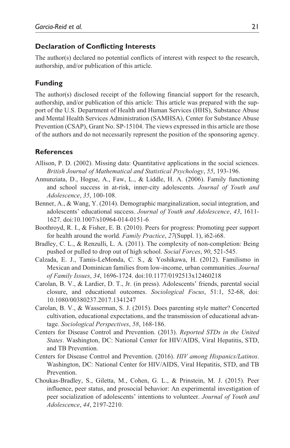#### **Declaration of Conflicting Interests**

The author(s) declared no potential conflicts of interest with respect to the research, authorship, and/or publication of this article.

## **Funding**

The author(s) disclosed receipt of the following financial support for the research, authorship, and/or publication of this article: This article was prepared with the support of the U.S. Department of Health and Human Services (HHS), Substance Abuse and Mental Health Services Administration (SAMHSA), Center for Substance Abuse Prevention (CSAP), Grant No. SP-15104. The views expressed in this article are those of the authors and do not necessarily represent the position of the sponsoring agency.

### **References**

- Allison, P. D. (2002). Missing data: Quantitative applications in the social sciences. *British Journal of Mathematical and Statistical Psychology*, *55*, 193-196.
- Annunziata, D., Hogue, A., Faw, L., & Liddle, H. A. (2006). Family functioning and school success in at-risk, inner-city adolescents. *Journal of Youth and Adolescence*, *35*, 100-108.
- Benner, A., & Wang, Y. (2014). Demographic marginalization, social integration, and adolescents' educational success. *Journal of Youth and Adolescence*, *43*, 1611- 1627. doi:10.1007/s10964-014-0151-6
- Boothroyd, R. I., & Fisher, E. B. (2010). Peers for progress: Promoting peer support for health around the world. *Family Practice*, *27*(Suppl. 1), i62-i68.
- Bradley, C. L., & Renzulli, L. A. (2011). The complexity of non-completion: Being pushed or pulled to drop out of high school. *Social Forces*, *90*, 521-545.
- Calzada, E. J., Tamis-LeMonda, C. S., & Yoshikawa, H. (2012). Familismo in Mexican and Dominican families from low-income, urban communities. *Journal of Family Issues*, *34*, 1696-1724. doi:10.1177/0192513x12460218
- Carolan, B. V., & Lardier, D. T., Jr. (in press). Adolescents' friends, parental social closure, and educational outcomes. *Sociological Focus*, 51:1, 52-68, doi: 10.1080/00380237.2017.1341247
- Carolan, B. V., & Wasserman, S. J. (2015). Does parenting style matter? Concerted cultivation, educational expectations, and the transmission of educational advantage. *Sociological Perspectives*, *58*, 168-186.
- Centers for Disease Control and Prevention. (2013). *Reported STDs in the United States*. Washington, DC: National Center for HIV/AIDS, Viral Hepatitis, STD, and TB Prevention.
- Centers for Disease Control and Prevention. (2016). *HIV among Hispanics/Latinos*. Washington, DC: National Center for HIV/AIDS, Viral Hepatitis, STD, and TB Prevention.
- Choukas-Bradley, S., Giletta, M., Cohen, G. L., & Prinstein, M. J. (2015). Peer influence, peer status, and prosocial behavior: An experimental investigation of peer socialization of adolescents' intentions to volunteer. *Journal of Youth and Adolescence*, *44*, 2197-2210.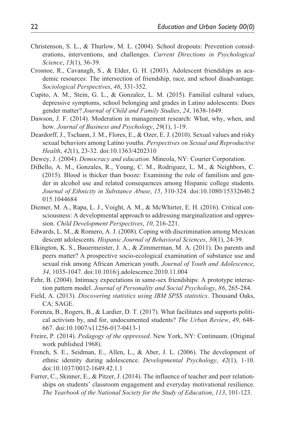- Christenson, S. L., & Thurlow, M. L. (2004). School dropouts: Prevention considerations, interventions, and challenges. *Current Directions in Psychological Science*, *13*(1), 36-39.
- Crosnoe, R., Cavanagh, S., & Elder, G. H. (2003). Adolescent friendships as academic resources: The intersection of friendship, race, and school disadvantage. *Sociological Perspectives*, *46*, 331-352.
- Cupito, A. M., Stein, G. L., & Gonzalez, L. M. (2015). Familial cultural values, depressive symptoms, school belonging and grades in Latino adolescents: Does gender matter? *Journal of Child and Family Studies*, *24*, 1638-1649.
- Dawson, J. F. (2014). Moderation in management research: What, why, when, and how. *Journal of Business and Psychology*, *29*(1), 1-19.
- Deardorff, J., Tschann, J. M., Flores, E., & Ozer, E. J. (2010). Sexual values and risky sexual behaviors among Latino youths. *Perspectives on Sexual and Reproductive Health*, *42*(1), 23-32. doi:10.1363/4202310
- Dewey, J. (2004). *Democracy and education*. Mineola, NY: Courier Corporation.
- DiBello, A. M., Gonzales, R., Young, C. M., Rodriguez, L. M., & Neighbors, C. (2015). Blood is thicker than booze: Examining the role of familism and gender in alcohol use and related consequences among Hispanic college students. *Journal of Ethnicity in Substance Abuse*, *15*, 310-324. doi:10.1080/15332640.2 015.1044684
- Diemer, M. A., Rapa, L. J., Voight, A. M., & McWhirter, E. H. (2016). Critical consciousness: A developmental approach to addressing marginalization and oppression. *Child Development Perspectives*, *10*, 216-221.
- Edwards, L. M., & Romero, A. J. (2008). Coping with discrimination among Mexican descent adolescents. *Hispanic Journal of Behavioral Sciences*, *30*(1), 24-39.
- Elkington, K. S., Bauermeister, J. A., & Zimmerman, M. A. (2011). Do parents and peers matter? A prospective socio-ecological examination of substance use and sexual risk among African American youth. *Journal of Youth and Adolescence*, *34*, 1035-1047. doi:10.1016/j.adolescence.2010.11.004
- Fehr, B. (2004). Intimacy expectations in same-sex friendships: A prototype interaction pattern model. *Journal of Personality and Social Psychology*, *86*, 265-284.
- Field, A. (2013). *Discovering statistics using IBM SPSS statistics*. Thousand Oaks, CA: SAGE.
- Forenza, B., Rogers, B., & Lardier, D. T. (2017). What facilitates and supports political activism by, and for, undocumented students? *The Urban Review*, *49*, 648- 667. doi:10.1007/s11256-017-0413-1
- Freire, P. (2014). *Pedagogy of the oppressed*. New York, NY: Continuum. (Original work published 1968).
- French, S. E., Seidman, E., Allen, L., & Aber, J. L. (2006). The development of ethnic identity during adolescence. *Developmental Psychology*, *42*(1), 1-10. doi:10.1037/0012-1649.42.1.1
- Furrer, C., Skinner, E., & Pitzer, J. (2014). The influence of teacher and peer relationships on students' classroom engagement and everyday motivational resilience. *The Yearbook of the National Society for the Study of Education*, *113*, 101-123.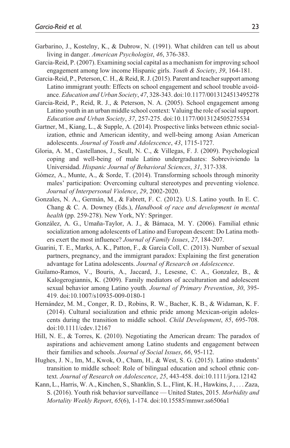- Garbarino, J., Kostelny, K., & Dubrow, N. (1991). What children can tell us about living in danger. *American Psychologist*, *46*, 376-383.
- Garcia-Reid, P. (2007). Examining social capital as a mechanism for improving school engagement among low income Hispanic girls. *Youth & Society*, *39*, 164-181.
- Garcia-Reid, P., Peterson, C. H., & Reid, R. J. (2015). Parent and teacher support among Latino immigrant youth: Effects on school engagement and school trouble avoidance. *Education and Urban Society*, *47*, 328-343. doi:10.1177/0013124513495278
- Garcia-Reid, P., Reid, R. J., & Peterson, N. A. (2005). School engagement among Latino youth in an urban middle school context: Valuing the role of social support. *Education and Urban Society*, *37*, 257-275. doi:10.1177/0013124505275534
- Gartner, M., Kiang, L., & Supple, A. (2014). Prospective links between ethnic socialization, ethnic and American identity, and well-being among Asian American adolescents. *Journal of Youth and Adolescence*, *43*, 1715-1727.
- Gloria, A. M., Castellanos, J., Scull, N. C., & Villegas, F. J. (2009). Psychological coping and well-being of male Latino undergraduates: Sobreviviendo la Universidad. *Hispanic Journal of Behavioral Sciences*, *31*, 317-338.
- Gómez, A., Munte, A., & Sorde, T. (2014). Transforming schools through minority males' participation: Overcoming cultural stereotypes and preventing violence. *Journal of Interpersonal Violence*, *29*, 2002-2020.
- Gonzales, N. A., Germán, M., & Fabrett, F. C. (2012). U.S. Latino youth. In E. C. Chang & C. A. Downey (Eds.), *Handbook of race and development in mental health* (pp. 259-278). New York, NY: Springer.
- González, A. G., Umaña-Taylor, A. J., & Bámaca, M. Y. (2006). Familial ethnic socialization among adolescents of Latino and European descent: Do Latina mothers exert the most influence? *Journal of Family Issues*, *27*, 184-207.
- Guarini, T. E., Marks, A. K., Patton, F., & García Coll, C. (2013). Number of sexual partners, pregnancy, and the immigrant paradox: Explaining the first generation advantage for Latina adolescents. *Journal of Research on Adolescence*.
- Guilamo-Ramos, V., Bouris, A., Jaccard, J., Lesesne, C. A., Gonzalez, B., & Kalogerogiannis, K. (2009). Family mediators of acculturation and adolescent sexual behavior among Latino youth. *Journal of Primary Prevention*, *30*, 395- 419. doi:10.1007/s10935-009-0180-1
- Hernández, M. M., Conger, R. D., Robins, R. W., Bacher, K. B., & Widaman, K. F. (2014). Cultural socialization and ethnic pride among Mexican-origin adolescents during the transition to middle school. *Child Development*, *85*, 695-708. doi:10.1111/cdev.12167
- Hill, N. E., & Torres, K. (2010). Negotiating the American dream: The paradox of aspirations and achievement among Latino students and engagement between their families and schools. *Journal of Social Issues*, *66*, 95-112.
- Hughes, J. N., Im, M., Kwok, O., Cham, H., & West, S. G. (2015). Latino students' transition to middle school: Role of bilingual education and school ethnic context. *Journal of Research on Adolescence*, *25*, 443-458. doi:10.1111/jora.12142
- Kann, L., Harris, W. A., Kinchen, S., Shanklin, S. L., Flint, K. H., Hawkins, J., . . . Zaza, S. (2016). Youth risk behavior surveillance — United States, 2015. *Morbidity and Mortality Weekly Report*, *65*(6), 1-174. doi:10.15585/mmwr.ss6506a1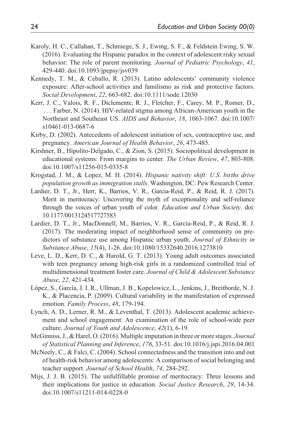- Karoly, H. C., Callahan, T., Schmiege, S. J., Ewing, S. F., & Feldstein Ewing, S. W. (2016). Evaluating the Hispanic paradox in the context of adolescent risky sexual behavior: The role of parent monitoring. *Journal of Pediatric Psychology*, *41*, 429-440. doi:10.1093/jpepsy/jsv039
- Kennedy, T. M., & Ceballo, R. (2013). Latino adolescents' community violence exposure: After-school activities and familismo as risk and protective factors. *Social Development*, *22*, 663-682. doi:10.1111/sode.12030
- Kerr, J. C., Valois, R. F., Diclemente, R. J., Fletcher, F., Carey, M. P., Romer, D., . . . Farber, N. (2014). HIV-related stigma among African-American youth in the Northeast and Southeast US. *AIDS and Behavior*, *18*, 1063-1067. doi:10.1007/ s10461-013-0687-6
- Kirby, D. (2002). Antecedents of adolescent initiation of sex, contraceptive use, and pregnancy. *American Journal of Health Behavior*, *26*, 473-485.
- Kirshner, B., Hipolito-Delgado, C., & Zion, S. (2015). Sociopolitical development in educational systems: From margins to center. *The Urban Review*, *47*, 803-808. doi:10.1007/s11256-015-0335-8
- Krogstad, J. M., & Lopez, M. H. (2014). *Hispanic nativity shift: U.S. births drive population growth as immigration stalls*. Washington, DC: Pew Research Center.
- Lardier, D. T., Jr., Herr, K., Barrios, V. R., Garcia-Reid, P., & Reid, R. J. (2017). Merit in meritocracy: Uncovering the myth of exceptionality and self-reliance through the voices of urban youth of color. *Education and Urban Society*. doi: 10.1177/0013124517727583
- Lardier, D. T., Jr., MacDonnell, M., Barrios, V. R., Garcia-Reid, P., & Reid, R. J. (2017). The moderating impact of neighborhood sense of community on predictors of substance use among Hispanic urban youth. *Journal of Ethnicity in Substance Abuse*, *15*(4), 1-26. doi:10.1080/15332640.2016.1273810
- Leve, L. D., Kerr, D. C., & Harold, G. T. (2013). Young adult outcomes associated with teen pregnancy among high-risk girls in a randomized controlled trial of multidimensional treatment foster care. *Journal of Child & Adolescent Substance Abuse*, *22*, 421-434.
- López, S., García, J. I. R., Ullman, J. B., Kopelowicz, L., Jenkins, J., Breitborde, N. J. K., & Placencia, P. (2009). Cultural variability in the manifestation of expressed emotion. *Family Process*, *48*, 179-194.
- Lynch, A. D., Lerner, R. M., & Leventhal, T. (2013). Adolescent academic achievement and school engagement: An examination of the role of school-wide peer culture. *Journal of Youth and Adolescence*, *42*(1), 6-19.
- McGinniss, J., & Harel, O. (2016). Multiple imputation in three or more stages. *Journal of Statistical Planning and Inference*, *176*, 33-51. doi:10.1016/j.jspi.2016.04.001
- McNeely, C., & Falci, C. (2004). School connectedness and the transition into and out of health-risk behavior among adolescents: A comparison of social belonging and teacher support. *Journal of School Health*, *74*, 284-292.
- Mijs, J. J. B. (2015). The unfulfillable promise of meritocracy: Three lessons and their implications for justice in education. *Social Justice Research*, *29*, 14-34. doi:10.1007/s11211-014-0228-0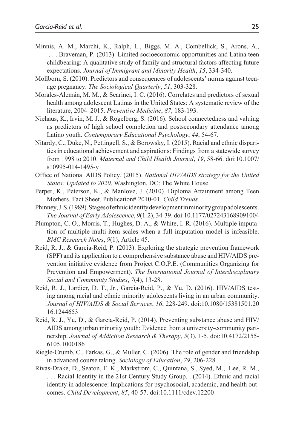- Minnis, A. M., Marchi, K., Ralph, L., Biggs, M. A., Combellick, S., Arons, A., . . . Braveman, P. (2013). Limited socioeconomic opportunities and Latina teen childbearing: A qualitative study of family and structural factors affecting future expectations. *Journal of Immigrant and Minority Health*, *15*, 334-340.
- Mollborn, S. (2010). Predictors and consequences of adolescents' norms against teenage pregnancy. *The Sociological Quarterly*, *51*, 303-328.
- Morales-Alemán, M. M., & Scarinci, I. C. (2016). Correlates and predictors of sexual health among adolescent Latinas in the United States: A systematic review of the literature, 2004–2015. *Preventive Medicine*, *87*, 183-193.
- Niehaus, K., Irvin, M. J., & Rogelberg, S. (2016). School connectedness and valuing as predictors of high school completion and postsecondary attendance among Latino youth. *Contemporary Educational Psychology*, *44*, 54-67.
- Nitardy, C., Duke, N., Pettingell, S., & Borowsky, I. (2015). Racial and ethnic disparities in educational achievement and aspirations: Findings from a statewide survey from 1998 to 2010. *Maternal and Child Health Journal*, *19*, 58-66. doi:10.1007/ s10995-014-1495-y
- Office of National AIDS Policy. (2015). *National HIV/AIDS strategy for the United States: Updated to 2020*. Washington, DC: The White House.
- Perper, K., Peterson, K., & Manlove, J. (2010). Diploma Attainment among Teen Mothers. Fact Sheet. Publication# 2010-01. *Child Trends*.
- Phinney, J. S. (1989). Stages of ethnic identity development in minority group adolescents. *The Journal of Early Adolescence*, *9*(1-2), 34-39. doi:10.1177/0272431689091004
- Plumpton, C. O., Morris, T., Hughes, D. A., & White, I. R. (2016). Multiple imputation of multiple multi-item scales when a full imputation model is infeasible. *BMC Research Notes*, *9*(1), Article 45.
- Reid, R. J., & Garcia-Reid, P. (2013). Exploring the strategic prevention framework (SPF) and its application to a comprehensive substance abuse and HIV/AIDS prevention initiative evidence from Project C.O.P.E. (Communities Organizing for Prevention and Empowerment). *The International Journal of Interdisciplinary Social and Community Studies*, *7*(4), 13-28.
- Reid, R. J., Lardier, D. T., Jr., Garcia-Reid, P., & Yu, D. (2016). HIV/AIDS testing among racial and ethnic minority adolescents living in an urban community. *Journal of HIV/AIDS & Social Services*, *16*, 228-249. doi:10.1080/15381501.20 16.1244653
- Reid, R. J., Yu, D., & Garcia-Reid, P. (2014). Preventing substance abuse and HIV/ AIDS among urban minority youth: Evidence from a university-community partnership. *Journal of Addiction Research & Therapy*, *5*(3), 1-5. doi:10.4172/2155- 6105.1000186
- Riegle-Crumb, C., Farkas, G., & Muller, C. (2006). The role of gender and friendship in advanced course taking. *Sociology of Education*, *79*, 206-228.
- Rivas-Drake, D., Seaton, E. K., Markstrom, C., Quintana, S., Syed, M., Lee, R. M., . . . Racial Identity in the 21st Century Study Group, . (2014). Ethnic and racial identity in adolescence: Implications for psychosocial, academic, and health outcomes. *Child Development*, *85*, 40-57. doi:10.1111/cdev.12200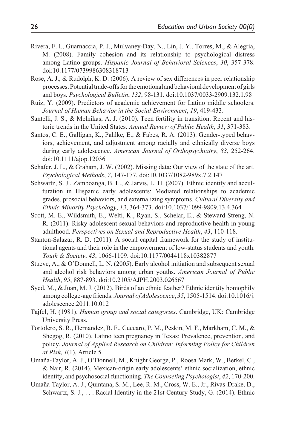- Rivera, F. I., Guarnaccia, P. J., Mulvaney-Day, N., Lin, J. Y., Torres, M., & Alegría, M. (2008). Family cohesion and its relationship to psychological distress among Latino groups. *Hispanic Journal of Behavioral Sciences*, *30*, 357-378. doi:10.1177/0739986308318713
- Rose, A. J., & Rudolph, K. D. (2006). A review of sex differences in peer relationship processes: Potential trade-offs for the emotional and behavioral development of girls and boys. *Psychological Bulletin*, *132*, 98-131. doi:10.1037/0033-2909.132.1.98
- Ruiz, Y. (2009). Predictors of academic achievement for Latino middle schoolers. *Journal of Human Behavior in the Social Environment*, *19*, 419-433.
- Santelli, J. S., & Melnikas, A. J. (2010). Teen fertility in transition: Recent and historic trends in the United States. *Annual Review of Public Health*, *31*, 371-383.
- Santos, C. E., Galligan, K., Pahlke, E., & Fabes, R. A. (2013). Gender-typed behaviors, achievement, and adjustment among racially and ethnically diverse boys during early adolescence. *American Journal of Orthopsychiatry*, *83*, 252-264. doi:10.1111/ajop.12036
- Schafer, J. L., & Graham, J. W. (2002). Missing data: Our view of the state of the art. *Psychological Methods*, *7*, 147-177. doi:10.1037/1082-989x.7.2.147
- Schwartz, S. J., Zamboanga, B. L., & Jarvis, L. H. (2007). Ethnic identity and acculturation in Hispanic early adolescents: Mediated relationships to academic grades, prosocial behaviors, and externalizing symptoms. *Cultural Diversity and Ethnic Minority Psychology*, *13*, 364-373. doi:10.1037/1099-9809.13.4.364
- Scott, M. E., Wildsmith, E., Welti, K., Ryan, S., Schelar, E., & Steward-Streng, N. R. (2011). Risky adolescent sexual behaviors and reproductive health in young adulthood. *Perspectives on Sexual and Reproductive Health*, *43*, 110-118.
- Stanton-Salazar, R. D. (2011). A social capital framework for the study of institutional agents and their role in the empowerment of low-status students and youth. *Youth & Society*, *43*, 1066-1109. doi:10.1177/0044118x10382877
- Stueve, A., & O'Donnell, L. N. (2005). Early alcohol initiation and subsequent sexual and alcohol risk behaviors among urban youths. *American Journal of Public Health*, *95*, 887-893. doi:10.2105/AJPH.2003.026567
- Syed, M., & Juan, M. J. (2012). Birds of an ethnic feather? Ethnic identity homophily among college-age friends. *Journal of Adolescence*, *35*, 1505-1514. doi:10.1016/j. adolescence.2011.10.012
- Tajfel, H. (1981). *Human group and social categories*. Cambridge, UK: Cambridge University Press.
- Tortolero, S. R., Hernandez, B. F., Cuccaro, P. M., Peskin, M. F., Markham, C. M., & Shegog, R. (2010). Latino teen pregnancy in Texas: Prevalence, prevention, and policy. *Journal of Applied Research on Children: Informing Policy for Children at Risk*, *1*(1), Article 5.
- Umaña-Taylor, A. J., O'Donnell, M., Knight George, P., Roosa Mark, W., Berkel, C., & Nair, R. (2014). Mexican-origin early adolescents' ethnic socialization, ethnic identity, and psychosocial functioning. *The Counseling Psychologist*, *42*, 170-200.
- Umaña-Taylor, A. J., Quintana, S. M., Lee, R. M., Cross, W. E., Jr., Rivas-Drake, D., Schwartz, S. J., . . . Racial Identity in the 21st Century Study, G. (2014). Ethnic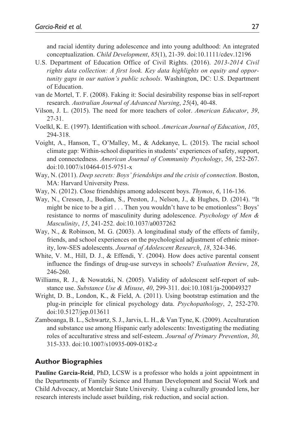and racial identity during adolescence and into young adulthood: An integrated conceptualization. *Child Development*, *85*(1), 21-39. doi:10.1111/cdev.12196

- U.S. Department of Education Office of Civil Rights. (2016). *2013-2014 Civil rights data collection: A first look. Key data highlights on equity and opportunity gaps in our nation's public schools*. Washington, DC: U.S. Department of Education.
- van de Mortel, T. F. (2008). Faking it: Social desirability response bias in self-report research. *Australian Journal of Advanced Nursing*, *25*(4), 40-48.
- Vilson, J. L. (2015). The need for more teachers of color. *American Educator*, *39*, 27-31.
- Voelkl, K. E. (1997). Identification with school. *American Journal of Education*, *105*, 294-318.
- Voight, A., Hanson, T., O'Malley, M., & Adekanye, L. (2015). The racial school climate gap: Within-school disparities in students' experiences of safety, support, and connectedness. *American Journal of Community Psychology*, *56*, 252-267. doi:10.1007/s10464-015-9751-x
- Way, N. (2011). *Deep secrets: Boys' friendships and the crisis of connection*. Boston, MA: Harvard University Press.
- Way, N. (2012). Close friendships among adolescent boys. *Thymos*, *6*, 116-136.
- Way, N., Cressen, J., Bodian, S., Preston, J., Nelson, J., & Hughes, D. (2014). "It might be nice to be a girl . . . Then you wouldn't have to be emotionless": Boys' resistance to norms of masculinity during adolescence. *Psychology of Men & Masculinity*, *15*, 241-252. doi:10.1037/a0037262
- Way, N., & Robinson, M. G. (2003). A longitudinal study of the effects of family, friends, and school experiences on the psychological adjustment of ethnic minority, low-SES adolescents. *Journal of Adolescent Research*, *18*, 324-346.
- White, V. M., Hill, D. J., & Effendi, Y. (2004). How does active parental consent influence the findings of drug-use surveys in schools? *Evaluation Review*, *28*, 246-260.
- Williams, R. J., & Nowatzki, N. (2005). Validity of adolescent self-report of substance use. *Substance Use & Misuse*, *40*, 299-311. doi:10.1081/ja-200049327
- Wright, D. B., London, K., & Field, A. (2011). Using bootstrap estimation and the plug-in principle for clinical psychology data. *Psychopathology*, *2*, 252-270. doi:10.5127/jep.013611
- Zamboanga, B. L., Schwartz, S. J., Jarvis, L. H., & Van Tyne, K. (2009). Acculturation and substance use among Hispanic early adolescents: Investigating the mediating roles of acculturative stress and self-esteem. *Journal of Primary Prevention*, *30*, 315-333. doi:10.1007/s10935-009-0182-z

#### **Author Biographies**

**Pauline Garcia-Reid**, PhD, LCSW is a professor who holds a joint appointment in the Departments of Family Science and Human Development and Social Work and Child Advocacy, at Montclair State University. Using a culturally grounded lens, her research interests include asset building, risk reduction, and social action.